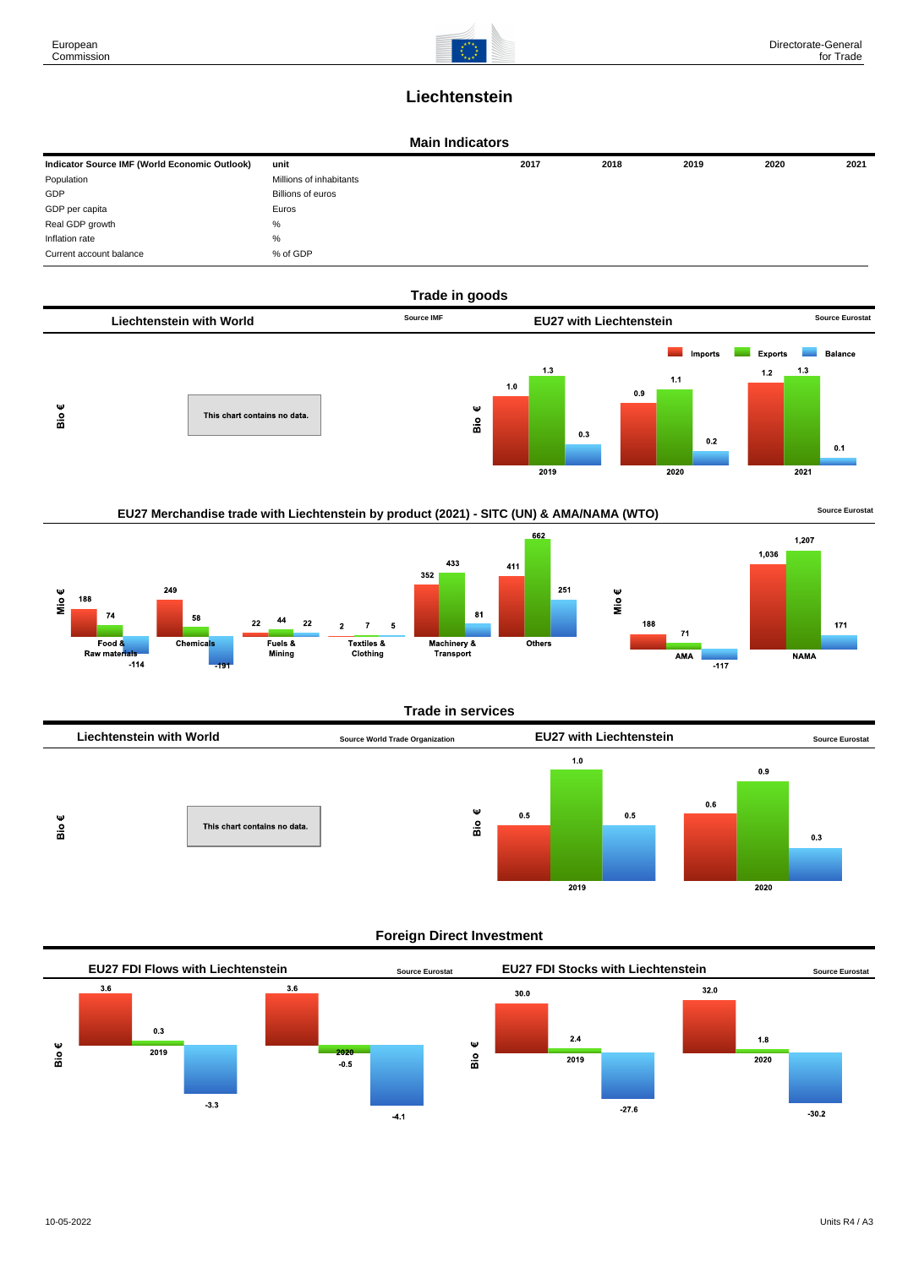

# **Liechtenstein**

## **Main Indicators**

| Indicator Source IMF (World Economic Outlook) | unit                    | 2017 | 2018 | 2019 | 2020 | 2021 |
|-----------------------------------------------|-------------------------|------|------|------|------|------|
| Population                                    | Millions of inhabitants |      |      |      |      |      |
| GDP                                           | Billions of euros       |      |      |      |      |      |
| GDP per capita                                | Euros                   |      |      |      |      |      |
| Real GDP growth                               | %                       |      |      |      |      |      |
| Inflation rate                                | %                       |      |      |      |      |      |
| Current account balance                       | % of GDP                |      |      |      |      |      |





## **Trade in services**



## **Foreign Direct Investment**



 $171$